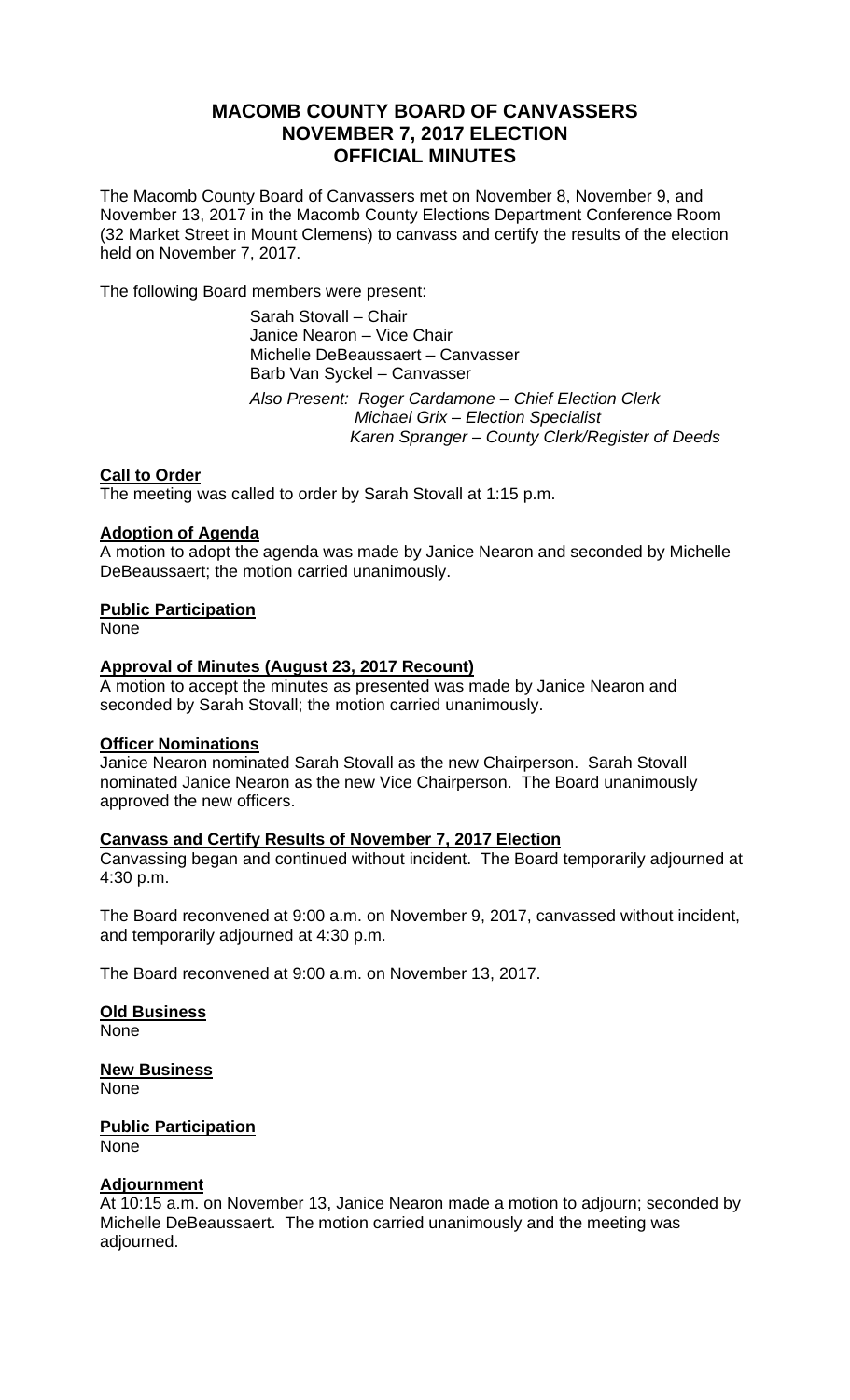# **MACOMB COUNTY BOARD OF CANVASSERS NOVEMBER 7, 2017 ELECTION OFFICIAL MINUTES**

The Macomb County Board of Canvassers met on November 8, November 9, and November 13, 2017 in the Macomb County Elections Department Conference Room (32 Market Street in Mount Clemens) to canvass and certify the results of the election held on November 7, 2017.

The following Board members were present:

 Sarah Stovall – Chair Janice Nearon – Vice Chair Michelle DeBeaussaert – Canvasser Barb Van Syckel – Canvasser

 *Also Present: Roger Cardamone – Chief Election Clerk Michael Grix – Election Specialist Karen Spranger – County Clerk/Register of Deeds* 

## **Call to Order**

The meeting was called to order by Sarah Stovall at 1:15 p.m.

## **Adoption of Agenda**

A motion to adopt the agenda was made by Janice Nearon and seconded by Michelle DeBeaussaert; the motion carried unanimously.

## **Public Participation**

None

## **Approval of Minutes (August 23, 2017 Recount)**

A motion to accept the minutes as presented was made by Janice Nearon and seconded by Sarah Stovall; the motion carried unanimously.

### **Officer Nominations**

Janice Nearon nominated Sarah Stovall as the new Chairperson. Sarah Stovall nominated Janice Nearon as the new Vice Chairperson. The Board unanimously approved the new officers.

### **Canvass and Certify Results of November 7, 2017 Election**

Canvassing began and continued without incident. The Board temporarily adjourned at 4:30 p.m.

The Board reconvened at 9:00 a.m. on November 9, 2017, canvassed without incident, and temporarily adjourned at 4:30 p.m.

The Board reconvened at 9:00 a.m. on November 13, 2017.

**Old Business**  None

**New Business**  None

**Public Participation**  None

### **Adjournment**

At 10:15 a.m. on November 13, Janice Nearon made a motion to adjourn; seconded by Michelle DeBeaussaert. The motion carried unanimously and the meeting was adjourned.